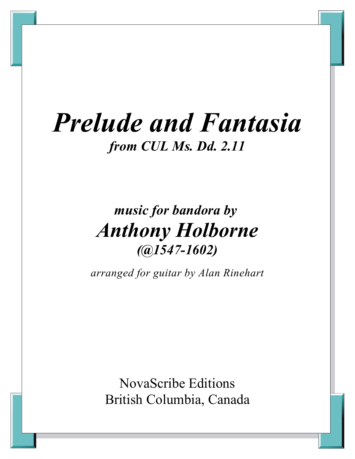## *Prelude and Fantasia from CUL Ms. Dd. 2.11*

## *music for bandora by Anthony Holborne (@1547-1602)*

*arranged for guitar by Alan Rinehart*

NovaScribe Editions British Columbia, Canada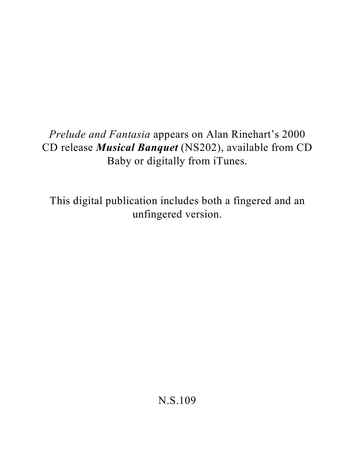## *Prelude and Fantasia* appears on Alan Rinehart's 2000 CD release *Musical Banquet* (NS202), available from CD Baby or digitally from iTunes.

This digital publication includes both a fingered and an unfingered version.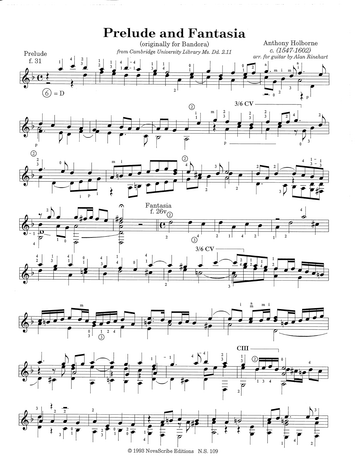

 $\bar{\bar{\psi}}$  is a set







© 1993 NovaScribe Editions N.S. 109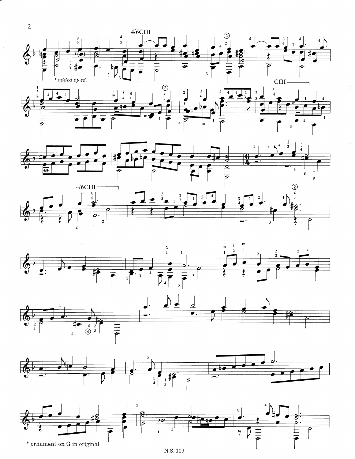









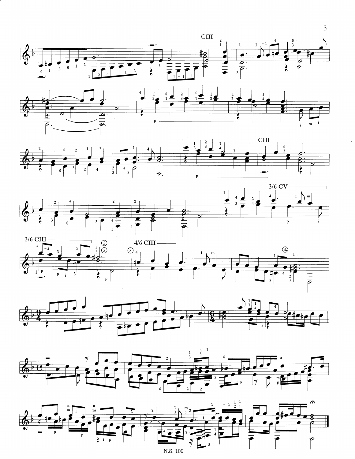













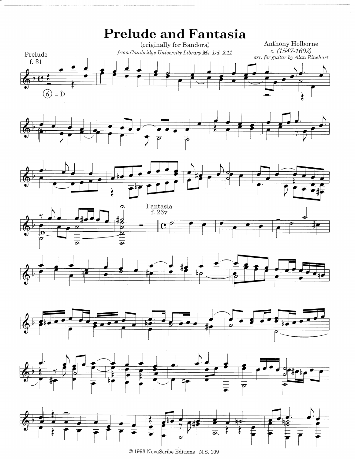









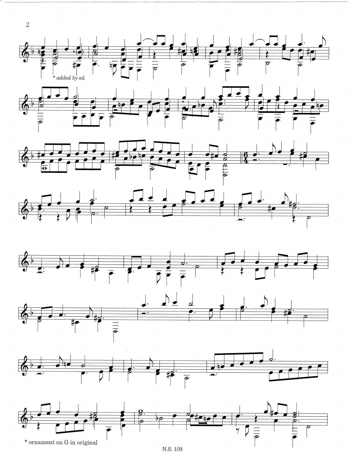

2